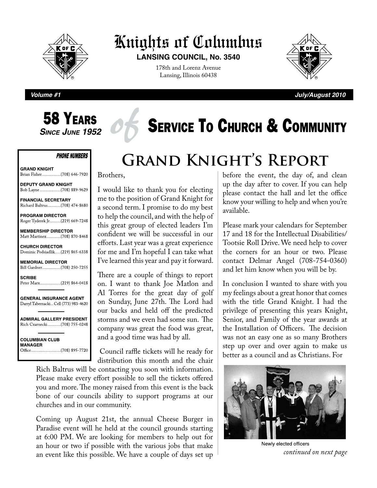

## Knights of Columbus

**LANSING COUNCIL, No. 3540**

178th and Lorenz Avenue Lansing, Illinois 60438



**Volume #1 July/August 2010**

# **58 YEARS**<br>Since June 1952

#### **PHONE NUMBERS**

**GRAND KNIGHT** 

**DEPUTY GRAND KNIGHT** 

**FINANCIAL SECRETARY** Richard Baltrus.............(708) 474-8680

**PROGRAM DIRECTOR** Roger Tyderek Jr..........(219) 669-7248

**MEMBERSHIP DIRECTOR** Matt Martinez.............(708) 870-8468

**CHURCH DIRECTOR** Dominic Podsiadlik.....(219) 865-6338

**MEMORIAL DIRECTOR** Bill Gardner..................(708) 250-7255

**SCRIBE** Peter Marx....................(219) 864-0418

**GENERAL INSURANCE AGENT** Darryl Tabernacki... Cell (773) 983-4620

**ADMIRAL GALLERY PRESIDENT** Rich Czarnecki............(708) 755-0248

**COLUMBIAN CLUB MANAGER** 

## **SERVICE TO CHURCH & COMMUNITY**

## **Grand Knight's Report**

#### Brothers,

I would like to thank you for electing me to the position of Grand Knight for a second term. I promise to do my best to help the council, and with the help of this great group of elected leaders I'm confident we will be successful in our efforts. Last year was a great experience for me and I'm hopeful I can take what I've learned this year and pay it forward.

There are a couple of things to report on. I want to thank Joe Matlon and Al Torres for the great day of golf on Sunday, June 27th. The Lord had our backs and held off the predicted storms and we even had some sun. The company was great the food was great, and a good time was had by all.

 Council raffle tickets will he ready for distribution this month and the chair

Rich Baltrus will be contacting you soon with information. Please make every effort possible to sell the tickets offered you and more. The money raised from this event is the back bone of our councils ability to support programs at our churches and in our community.

Coming up August 21st, the annual Cheese Burger in Paradise event will he held at the council grounds starting at 6:00 PM. We are looking for members to help out for an hour or two if possible with the various jobs that make an event like this possible. We have a couple of days set up before the event, the day of, and clean up the day after to cover. If you can help please contact the hall and let the office know your willing to help and when you're available.

Please mark your calendars for September 17 and 18 for the Intellectual Disabilities/ Tootsie Roll Drive. We need help to cover the corners for an hour or two. Please contact Delmar Angel (708-754-0360) and let him know when you will be by.

In conclusion I wanted to share with you my feelings about a great honor that comes with the title Grand Knight. I had the privilege of presenting this years Knight, Senior, and Family of the year awards at the Installation of Officers. The decision was not an easy one as so many Brothers step up over and over again to make us better as a council and as Christians. For



Newly elected officers *continued on next page*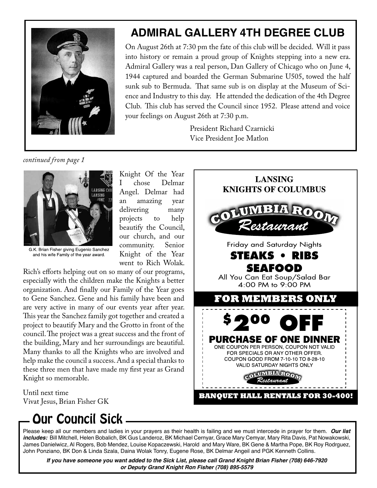

### **ADMIRAL GALLERY 4TH DEGREE CLUB**

On August 26th at 7:30 pm the fate of this club will be decided. Will it pass into history or remain a proud group of Knights stepping into a new era. Admiral Gallery was a real person, Dan Gallery of Chicago who on June 4, 1944 captured and boarded the German Submarine U505, towed the half sunk sub to Bermuda. That same sub is on display at the Museum of Science and Industry to this day. He attended the dedication of the 4th Degree Club. This club has served the Council since 1952. Please attend and voice your feelings on August 26th at 7:30 p.m.

> President Richard Czarnicki Vice President Joe Matlon

*continued from page 1*



G.K. Brian Fisher giving Eugenio Sanchez and his wife Family of the year award.

Knight Of the Year<br>I chose Delmar Delmar Angel. Delmar had an amazing year delivering many<br>projects to help projects to beautify the Council, our church, and our community. Senior Knight of the Year went to Rich Wolak.

Rich's efforts helping out on so many of our programs, especially with the children make the Knights a better organization. And finally our Family of the Year goes to Gene Sanchez. Gene and his family have been and are very active in many of our events year after year. This year the Sanchez family got together and created a project to beautify Mary and the Grotto in front of the council. The project was a great success and the front of the building, Mary and her surroundings are beautiful. Many thanks to all the Knights who are involved and help make the council a success. And a special thanks to these three men that have made my first year as Grand Knight so memorable.

Until next time Vivat Jesus, Brian Fisher GK

## Our Council Sick

Please keep all our members and ladies in your prayers as their health is failing and we must intercede in prayer for them. **Our list includes:** Bill Mitchell, Helen Bobalich, BK Gus Landeroz, BK Michael Cernyar, Grace Mary Cemyar, Mary Rita Davis, Pat Nowakowski, James Danielwicz, Al Rogers, Bob Mendez, Louise Kopaczewski, Harold and Mary Ware, BK Gene & Martha Pope, BK Roy Rodrguez, John Ponziano, BK Don & Linda Szala, Daina Wolak Tonry, Eugene Rose, BK Delmar Angeil and PGK Kenneth Collins.

**If you have someone you want added to the Sick List, please call Grand Knight Brian Fisher (708) 646-7920 or Deputy Grand Knight Ron Fisher (708) 895-5579**

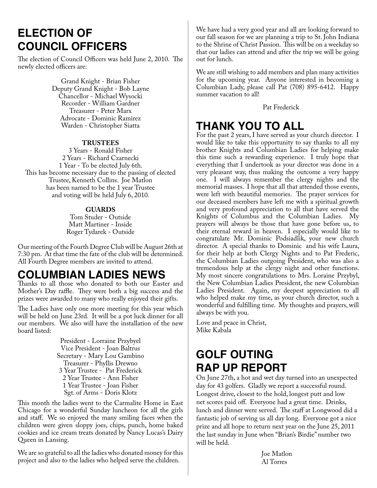### **ELECTION OF COUNCIL OFFICERS**

The election of Council Officers was held June 2, 2010. The newly elected officers are:

> Grand Knight - Brian Fisher Deputy Grand Knight - Bob Layne Chancellor - Michael Wysocki Recorder - William Gardner Treasurer - Peter Marx Advocate - Dominic Ramirez Warden - Christopher Siatta

#### **TRUSTEES**

3 Years - Ronald Fisher 2 Years - Richard Czarnecki 1 Year - To be elected July 6th. This has become necessary due to the passing of elected Trustee, Kenneth Collins. Joe Matlon has been named to be the 1 year Trustee and voting will be held July 6, 2010.

#### **GUARDS**

Tom Studer - Outside Matt Martiner - Inside Roger Tydarek - Outside

Our meeting of the Fourth Degree Club will be August 26th at 7:30 pm. At that time the fate of the club will be determined. All Fourth Degree members are invited to attend.

### **COLUMBIAN LADIES NEWS**

Thanks to all those who donated to both our Easter and Mother's Day raffle. They were both a big success and the prizes were awarded to many who really enjoyed their gifts.

The Ladies have only one more meeting for this year which will be held on June 23rd. It will be a pot luck dinner for all our members. We also will have the installation of the new board listed:

> President - Lorraine Przybyel Vice President - Joan Baltrus Secretary - Mary Lou Gambino Treasurer - Phyllis Drewno 3 Year Trustee - Pat Frederick 2 Year Trustee - Ann Fisher 1 Year Trustee - Joan Fisher Sgt. of Arms - Doris Klotz

This month the ladies went to the Carmalite Home in East Chicago for a wonderful Sunday luncheon for all the girls and staff. We so enjoyed the many smiling faces when the children were given sloppy joes, chips, punch, home baked cookies and ice cream treats donated by Nancy Lucas's Dairy Queen in Lansing.

We are so grateful to all the ladies who donated money for this project and also to the ladies who helped serve the children.

We have had a very good year and all are looking forward to our fall season for we are planning a trip to St. John Indiana to the Shrine of Christ Passion. This will be on a weekday so that our ladies can attend and after the trip we will be going out for lunch.

We are still wishing to add members and plan many activities for the upcoming year. Anyone interested in becoming a Columbian Lady, please call Pat (708) 895-6412. Happy summer vacation to all!

Pat Frederick

### **THANK YOU TO ALL**

For the past 2 years, I have served as your church director. I would like to take this opportunity to say thanks to all my brother Knights and Columbian Ladies for helping make this time such a rewarding experience. I truly hope that everything that I undertook as your director was done in a very pleasant way, thus making the outcome a very happy one. I will always remember the clergy nights and the memorial masses. I hope that all that attended those events, were left with beautiful memories. The prayer services for our deceased members have left me with a spiritual growth and very profound appreciation to all that have served the Knights of Columbus and the Columbian Ladies. My prayers will always be those that have gone before us, to their eternal reward in heaven. I especially would like to congratulate Mr. Dominic Podsiadlik, your new church director. A special thanks to Dominic and his wife Laura, for their help at both Clergy Nights and to Pat Frederic, the Columbian Ladies outgoing President, who was also a tremendous help at the clergy night and other functions. My most sincere congratulations to Mrs. Loraine Przybyl, the New Columbian Ladies President, the new Columbian Ladies President. Again, my deepest appreciation to all who helped make my time, as your church director, such a wonderful and fulfilling time. My thoughts and prayers, will always be with you.

Love and peace in Christ, Mike Kabala

### **GOLF OUTING RAP UP REPORT**

On June 27th, a hot and wet day turned into an unexpected day for 43 golfers. Gladly we report a successful round. Longest drive, closest to the hold, longest putt and low net scores paid off. Everyone had a great time. Drinks, lunch and dinner were served. The staff at Longwood did a fantastic job of serving us all day long. Everyone got a nice prize and all hope to return next year on the June 25, 2011 the last sunday in June when "Brian's Birdie" number two will be held.

> Joe Matlon Al Torres